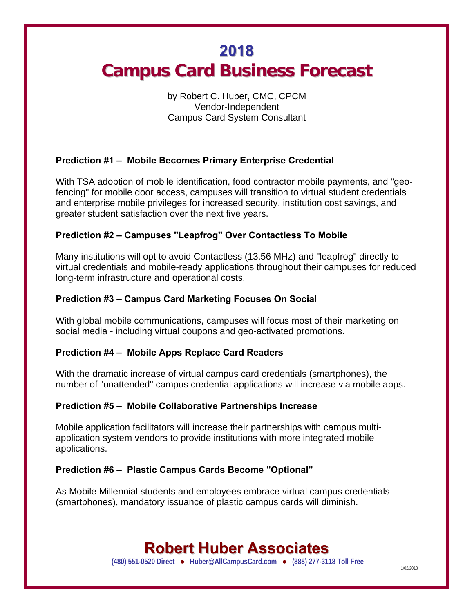# **2018 Campus Card Business Forecast**

# by Robert C. Huber, CMC, CPCM Vendor-Independent Campus Card System Consultant

# **Prediction #1 – Mobile Becomes Primary Enterprise Credential**

With TSA adoption of mobile identification, food contractor mobile payments, and "geofencing" for mobile door access, campuses will transition to virtual student credentials and enterprise mobile privileges for increased security, institution cost savings, and greater student satisfaction over the next five years.

### **Prediction #2 – Campuses "Leapfrog" Over Contactless To Mobile**

Many institutions will opt to avoid Contactless (13.56 MHz) and "leapfrog" directly to virtual credentials and mobile-ready applications throughout their campuses for reduced long-term infrastructure and operational costs.

### **Prediction #3 – Campus Card Marketing Focuses On Social**

With global mobile communications, campuses will focus most of their marketing on social media - including virtual coupons and geo-activated promotions.

#### **Prediction #4 – Mobile Apps Replace Card Readers**

With the dramatic increase of virtual campus card credentials (smartphones), the number of "unattended" campus credential applications will increase via mobile apps.

#### **Prediction #5 – Mobile Collaborative Partnerships Increase**

Mobile application facilitators will increase their partnerships with campus multiapplication system vendors to provide institutions with more integrated mobile applications.

### **Prediction #6 – Plastic Campus Cards Become "Optional"**

As Mobile Millennial students and employees embrace virtual campus credentials (smartphones), mandatory issuance of plastic campus cards will diminish.

# **Robert Huber Associates**

(480) 551-0520 Direct ● Huber@AllCampusCard.com ● (888) 277-3118 Toll Free